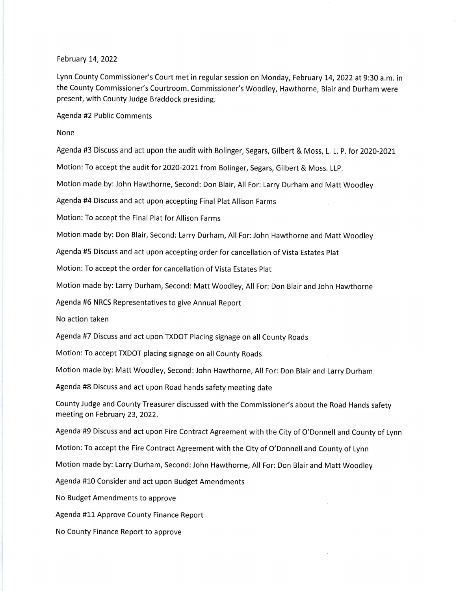## February 14, 2022

Lynn County Commissioner's Court met in regular session on Monday, February 14, 2022 at 9:30 a.m. in the County Commissioner's Courtroom. Commissioner's Woodley, Hawthorne, Blair and Durham were present, with County Judge Braddock presiding.

Agenda #2 Public Comments

None

Agenda #3 Discuss and act upon the audit with Bolinger, Segars, Gilbert & Moss, L. L. P. for 2020-2021

Motion: To accept the audit for 2020-2021 from Bolinger, Segars, Gilbert & Moss. LLP.

Motion made by: John Hawthorne, Second: Don Blair, All For: Larry Durham and Matt Woodley

Agenda #4 Discuss and act upon accepting Final Plat Allison Farms

Motion: To accept the Final Plat for Allison Farms

Motion made by: Don Blair, Second: Larry Durham, All For:John Hawthorne and Matt Woodley

Agenda #5 Discuss and act upon accepting order for cancellation of Vista Estates Plat

Motion: To accept the order for cancellation of Vista Estates plat

Motion made by: Larry Durham, Second: Matt Woodley, All For: Don Blair and John Hawthorne

Agenda #6 NRCS Representatives to give Annual Report

No action taken

Agenda #7 Discuss and act upon TXDOT Placing signage on all County Roads

Motion: To accept TXDOT placing signage on all County Roads

Motion made by: Matt Woodley, Second: John Hawthorne, All For: Don Blair and Larry Durham

Agenda #8 Discuss and act upon Road hands safety meeting date

County Judge and County Treasurer discussed with the Commissioner's about the Road Hands safety meeting on February 23, 2022.

Agenda #9 Discuss and act upon Fire Contract Agreement with the City of O'Donnell and County of Lynn

Motion: To accept the Fire Contract Agreement with the City of O'Donnell and County of Lynn

Motion made by: Larry Durham, Second: John Hawthorne, All For: Don Blair and Matt Woodley

Agenda #10 Consider and act upon Budget Amendments

No Budget Amendments to approve

Agenda #11 Approve County Finance Report

No County Finance Report to approve